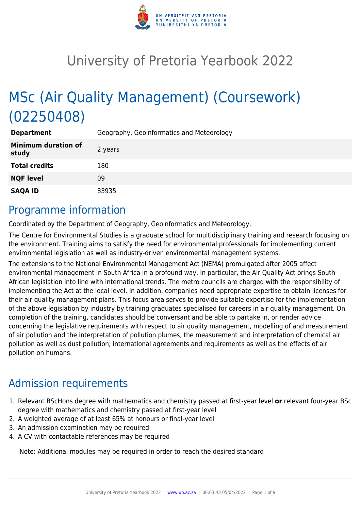

# University of Pretoria Yearbook 2022

# MSc (Air Quality Management) (Coursework) (02250408)

| <b>Department</b>                   | Geography, Geoinformatics and Meteorology |
|-------------------------------------|-------------------------------------------|
| <b>Minimum duration of</b><br>study | 2 years                                   |
| <b>Total credits</b>                | 180                                       |
| <b>NQF level</b>                    | 09                                        |
| <b>SAQA ID</b>                      | 83935                                     |

# Programme information

Coordinated by the Department of Geography, Geoinformatics and Meteorology.

The Centre for Environmental Studies is a graduate school for multidisciplinary training and research focusing on the environment. Training aims to satisfy the need for environmental professionals for implementing current environmental legislation as well as industry-driven environmental management systems.

The extensions to the National Environmental Management Act (NEMA) promulgated after 2005 affect environmental management in South Africa in a profound way. In particular, the Air Quality Act brings South African legislation into line with international trends. The metro councils are charged with the responsibility of implementing the Act at the local level. In addition, companies need appropriate expertise to obtain licenses for their air quality management plans. This focus area serves to provide suitable expertise for the implementation of the above legislation by industry by training graduates specialised for careers in air quality management. On completion of the training, candidates should be conversant and be able to partake in, or render advice concerning the legislative requirements with respect to air quality management, modelling of and measurement of air pollution and the interpretation of pollution plumes, the measurement and interpretation of chemical air pollution as well as dust pollution, international agreements and requirements as well as the effects of air pollution on humans.

# Admission requirements

- 1. Relevant BScHons degree with mathematics and chemistry passed at first-year level **or** relevant four-year BSc degree with mathematics and chemistry passed at first-year level
- 2. A weighted average of at least 65% at honours or final-year level
- 3. An admission examination may be required
- 4. A CV with contactable references may be required

Note: Additional modules may be required in order to reach the desired standard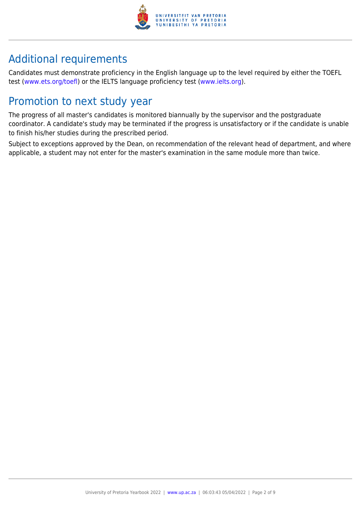

# Additional requirements

Candidates must demonstrate proficiency in the English language up to the level required by either the TOEFL test [\(www.ets.org/toefl\)](http://www.ets.org/toefl) or the IELTS language proficiency test ([www.ielts.org](http://www.ielts.org)).

# Promotion to next study year

The progress of all master's candidates is monitored biannually by the supervisor and the postgraduate coordinator. A candidate's study may be terminated if the progress is unsatisfactory or if the candidate is unable to finish his/her studies during the prescribed period.

Subject to exceptions approved by the Dean, on recommendation of the relevant head of department, and where applicable, a student may not enter for the master's examination in the same module more than twice.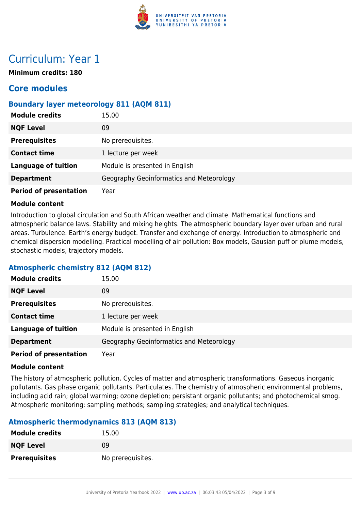

# Curriculum: Year 1

**Minimum credits: 180**

# **Core modules**

# **Boundary layer meteorology 811 (AQM 811)**

| <b>Module credits</b>         | 15.00                                    |
|-------------------------------|------------------------------------------|
| <b>NQF Level</b>              | 09                                       |
| <b>Prerequisites</b>          | No prerequisites.                        |
| <b>Contact time</b>           | 1 lecture per week                       |
| <b>Language of tuition</b>    | Module is presented in English           |
| <b>Department</b>             | Geography Geoinformatics and Meteorology |
| <b>Period of presentation</b> | Year                                     |

#### **Module content**

Introduction to global circulation and South African weather and climate. Mathematical functions and atmospheric balance laws. Stability and mixing heights. The atmospheric boundary layer over urban and rural areas. Turbulence. Earth's energy budget. Transfer and exchange of energy. Introduction to atmospheric and chemical dispersion modelling. Practical modelling of air pollution: Box models, Gausian puff or plume models, stochastic models, trajectory models.

# **Atmospheric chemistry 812 (AQM 812)**

| <b>Module credits</b>         | 15.00                                    |
|-------------------------------|------------------------------------------|
| <b>NQF Level</b>              | 09                                       |
| <b>Prerequisites</b>          | No prerequisites.                        |
| <b>Contact time</b>           | 1 lecture per week                       |
| <b>Language of tuition</b>    | Module is presented in English           |
| <b>Department</b>             | Geography Geoinformatics and Meteorology |
| <b>Period of presentation</b> | Year                                     |

#### **Module content**

The history of atmospheric pollution. Cycles of matter and atmospheric transformations. Gaseous inorganic pollutants. Gas phase organic pollutants. Particulates. The chemistry of atmospheric environmental problems, including acid rain; global warming; ozone depletion; persistant organic pollutants; and photochemical smog. Atmospheric monitoring: sampling methods; sampling strategies; and analytical techniques.

# **Atmospheric thermodynamics 813 (AQM 813)**

| <b>Module credits</b> | 15.00             |
|-----------------------|-------------------|
| <b>NQF Level</b>      | 09                |
| <b>Prerequisites</b>  | No prerequisites. |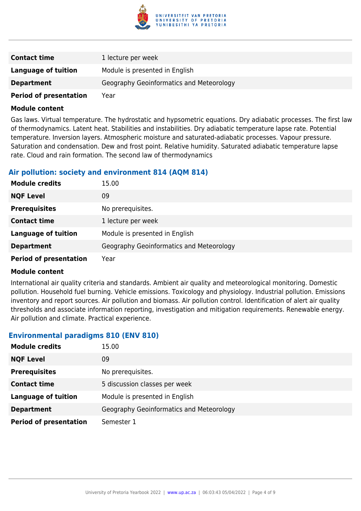

| <b>Contact time</b>           | 1 lecture per week                       |
|-------------------------------|------------------------------------------|
| Language of tuition           | Module is presented in English           |
| <b>Department</b>             | Geography Geoinformatics and Meteorology |
| <b>Period of presentation</b> | Year                                     |

Gas laws. Virtual temperature. The hydrostatic and hypsometric equations. Dry adiabatic processes. The first law of thermodynamics. Latent heat. Stabilities and instabilities. Dry adiabatic temperature lapse rate. Potential temperature. Inversion layers. Atmospheric moisture and saturated-adiabatic processes. Vapour pressure. Saturation and condensation. Dew and frost point. Relative humidity. Saturated adiabatic temperature lapse rate. Cloud and rain formation. The second law of thermodynamics

### **Air pollution: society and environment 814 (AQM 814)**

| <b>Module credits</b>         | 15.00                                    |
|-------------------------------|------------------------------------------|
| <b>NQF Level</b>              | 09                                       |
| <b>Prerequisites</b>          | No prerequisites.                        |
| <b>Contact time</b>           | 1 lecture per week                       |
| <b>Language of tuition</b>    | Module is presented in English           |
| <b>Department</b>             | Geography Geoinformatics and Meteorology |
| <b>Period of presentation</b> | Year                                     |

#### **Module content**

International air quality criteria and standards. Ambient air quality and meteorological monitoring. Domestic pollution. Household fuel burning. Vehicle emissions. Toxicology and physiology. Industrial pollution. Emissions inventory and report sources. Air pollution and biomass. Air pollution control. Identification of alert air quality thresholds and associate information reporting, investigation and mitigation requirements. Renewable energy. Air pollution and climate. Practical experience.

### **Environmental paradigms 810 (ENV 810)**

| <b>Module credits</b>         | 15.00                                    |
|-------------------------------|------------------------------------------|
| <b>NQF Level</b>              | 09                                       |
| <b>Prerequisites</b>          | No prerequisites.                        |
| <b>Contact time</b>           | 5 discussion classes per week            |
| <b>Language of tuition</b>    | Module is presented in English           |
| <b>Department</b>             | Geography Geoinformatics and Meteorology |
| <b>Period of presentation</b> | Semester 1                               |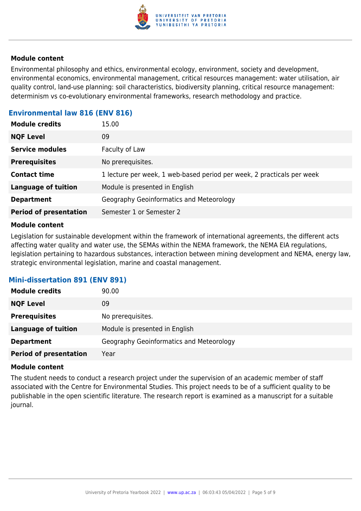

Environmental philosophy and ethics, environmental ecology, environment, society and development, environmental economics, environmental management, critical resources management: water utilisation, air quality control, land-use planning: soil characteristics, biodiversity planning, critical resource management: determinism vs co-evolutionary environmental frameworks, research methodology and practice.

# **Environmental law 816 (ENV 816)**

| 09<br><b>NQF Level</b>                                                                        |
|-----------------------------------------------------------------------------------------------|
| <b>Service modules</b><br>Faculty of Law                                                      |
| No prerequisites.<br><b>Prerequisites</b>                                                     |
| 1 lecture per week, 1 web-based period per week, 2 practicals per week<br><b>Contact time</b> |
| <b>Language of tuition</b><br>Module is presented in English                                  |
| Geography Geoinformatics and Meteorology<br><b>Department</b>                                 |
| <b>Period of presentation</b><br>Semester 1 or Semester 2                                     |

#### **Module content**

Legislation for sustainable development within the framework of international agreements, the different acts affecting water quality and water use, the SEMAs within the NEMA framework, the NEMA EIA regulations, legislation pertaining to hazardous substances, interaction between mining development and NEMA, energy law, strategic environmental legislation, marine and coastal management.

# **Mini-dissertation 891 (ENV 891)**

| <b>Module credits</b>         | 90.00                                    |
|-------------------------------|------------------------------------------|
| <b>NQF Level</b>              | 09                                       |
| <b>Prerequisites</b>          | No prerequisites.                        |
| <b>Language of tuition</b>    | Module is presented in English           |
| <b>Department</b>             | Geography Geoinformatics and Meteorology |
| <b>Period of presentation</b> | Year                                     |

#### **Module content**

The student needs to conduct a research project under the supervision of an academic member of staff associated with the Centre for Environmental Studies. This project needs to be of a sufficient quality to be publishable in the open scientific literature. The research report is examined as a manuscript for a suitable journal.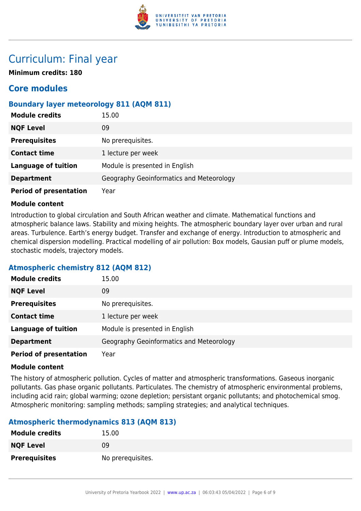

# Curriculum: Final year

**Minimum credits: 180**

# **Core modules**

# **Boundary layer meteorology 811 (AQM 811)**

| <b>Module credits</b>         | 15.00                                    |
|-------------------------------|------------------------------------------|
| <b>NQF Level</b>              | 09                                       |
| <b>Prerequisites</b>          | No prerequisites.                        |
| <b>Contact time</b>           | 1 lecture per week                       |
| <b>Language of tuition</b>    | Module is presented in English           |
| <b>Department</b>             | Geography Geoinformatics and Meteorology |
| <b>Period of presentation</b> | Year                                     |

### **Module content**

Introduction to global circulation and South African weather and climate. Mathematical functions and atmospheric balance laws. Stability and mixing heights. The atmospheric boundary layer over urban and rural areas. Turbulence. Earth's energy budget. Transfer and exchange of energy. Introduction to atmospheric and chemical dispersion modelling. Practical modelling of air pollution: Box models, Gausian puff or plume models, stochastic models, trajectory models.

# **Atmospheric chemistry 812 (AQM 812)**

| <b>Module credits</b>         | 15.00                                    |
|-------------------------------|------------------------------------------|
| <b>NQF Level</b>              | 09                                       |
| <b>Prerequisites</b>          | No prerequisites.                        |
| <b>Contact time</b>           | 1 lecture per week                       |
| <b>Language of tuition</b>    | Module is presented in English           |
| <b>Department</b>             | Geography Geoinformatics and Meteorology |
| <b>Period of presentation</b> | Year                                     |

### **Module content**

The history of atmospheric pollution. Cycles of matter and atmospheric transformations. Gaseous inorganic pollutants. Gas phase organic pollutants. Particulates. The chemistry of atmospheric environmental problems, including acid rain; global warming; ozone depletion; persistant organic pollutants; and photochemical smog. Atmospheric monitoring: sampling methods; sampling strategies; and analytical techniques.

# **Atmospheric thermodynamics 813 (AQM 813)**

| <b>Module credits</b> | 15.00             |
|-----------------------|-------------------|
| <b>NQF Level</b>      | 09                |
| <b>Prerequisites</b>  | No prerequisites. |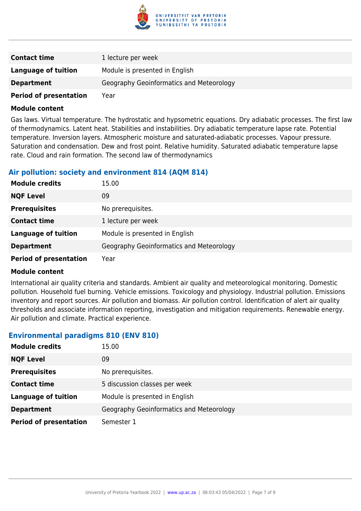

| <b>Contact time</b>           | 1 lecture per week                       |
|-------------------------------|------------------------------------------|
| Language of tuition           | Module is presented in English           |
| <b>Department</b>             | Geography Geoinformatics and Meteorology |
| <b>Period of presentation</b> | Year                                     |

Gas laws. Virtual temperature. The hydrostatic and hypsometric equations. Dry adiabatic processes. The first law of thermodynamics. Latent heat. Stabilities and instabilities. Dry adiabatic temperature lapse rate. Potential temperature. Inversion layers. Atmospheric moisture and saturated-adiabatic processes. Vapour pressure. Saturation and condensation. Dew and frost point. Relative humidity. Saturated adiabatic temperature lapse rate. Cloud and rain formation. The second law of thermodynamics

### **Air pollution: society and environment 814 (AQM 814)**

| <b>Module credits</b>         | 15.00                                    |
|-------------------------------|------------------------------------------|
| <b>NQF Level</b>              | 09                                       |
| <b>Prerequisites</b>          | No prerequisites.                        |
| <b>Contact time</b>           | 1 lecture per week                       |
| <b>Language of tuition</b>    | Module is presented in English           |
| <b>Department</b>             | Geography Geoinformatics and Meteorology |
| <b>Period of presentation</b> | Year                                     |

#### **Module content**

International air quality criteria and standards. Ambient air quality and meteorological monitoring. Domestic pollution. Household fuel burning. Vehicle emissions. Toxicology and physiology. Industrial pollution. Emissions inventory and report sources. Air pollution and biomass. Air pollution control. Identification of alert air quality thresholds and associate information reporting, investigation and mitigation requirements. Renewable energy. Air pollution and climate. Practical experience.

### **Environmental paradigms 810 (ENV 810)**

| <b>Module credits</b>         | 15.00                                    |
|-------------------------------|------------------------------------------|
| <b>NQF Level</b>              | 09                                       |
| <b>Prerequisites</b>          | No prerequisites.                        |
| <b>Contact time</b>           | 5 discussion classes per week            |
| <b>Language of tuition</b>    | Module is presented in English           |
| <b>Department</b>             | Geography Geoinformatics and Meteorology |
| <b>Period of presentation</b> | Semester 1                               |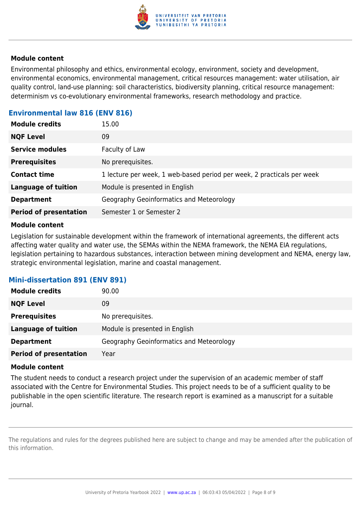

Environmental philosophy and ethics, environmental ecology, environment, society and development, environmental economics, environmental management, critical resources management: water utilisation, air quality control, land-use planning: soil characteristics, biodiversity planning, critical resource management: determinism vs co-evolutionary environmental frameworks, research methodology and practice.

# **Environmental law 816 (ENV 816)**

| 09<br><b>NQF Level</b><br><b>Service modules</b><br>Faculty of Law<br>No prerequisites.<br><b>Prerequisites</b> |
|-----------------------------------------------------------------------------------------------------------------|
|                                                                                                                 |
|                                                                                                                 |
|                                                                                                                 |
| 1 lecture per week, 1 web-based period per week, 2 practicals per week<br><b>Contact time</b>                   |
| <b>Language of tuition</b><br>Module is presented in English                                                    |
| Geography Geoinformatics and Meteorology<br><b>Department</b>                                                   |
| <b>Period of presentation</b><br>Semester 1 or Semester 2                                                       |

#### **Module content**

Legislation for sustainable development within the framework of international agreements, the different acts affecting water quality and water use, the SEMAs within the NEMA framework, the NEMA EIA regulations, legislation pertaining to hazardous substances, interaction between mining development and NEMA, energy law, strategic environmental legislation, marine and coastal management.

# **Mini-dissertation 891 (ENV 891)**

| <b>Module credits</b>         | 90.00                                    |
|-------------------------------|------------------------------------------|
| <b>NQF Level</b>              | 09                                       |
| <b>Prerequisites</b>          | No prerequisites.                        |
| <b>Language of tuition</b>    | Module is presented in English           |
| <b>Department</b>             | Geography Geoinformatics and Meteorology |
| <b>Period of presentation</b> | Year                                     |

#### **Module content**

The student needs to conduct a research project under the supervision of an academic member of staff associated with the Centre for Environmental Studies. This project needs to be of a sufficient quality to be publishable in the open scientific literature. The research report is examined as a manuscript for a suitable journal.

The regulations and rules for the degrees published here are subject to change and may be amended after the publication of this information.